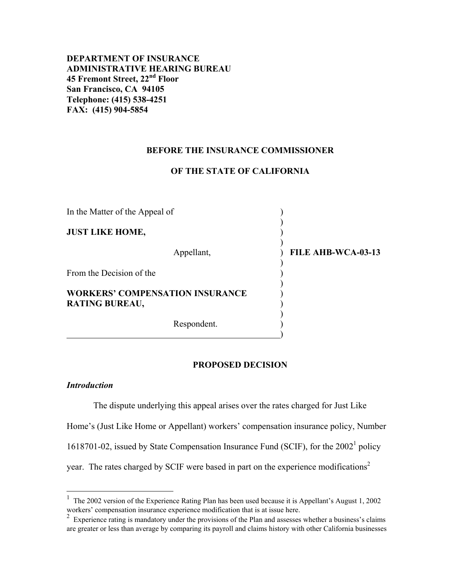# **DEPARTMENT OF INSURANCE ADMINISTRATIVE HEARING BUREAU 45 Fremont Street, 22nd Floor San Francisco, CA 94105 Telephone: (415) 538-4251 FAX: (415) 904-5854**

### **BEFORE THE INSURANCE COMMISSIONER**

## **OF THE STATE OF CALIFORNIA**

| In the Matter of the Appeal of                                  |                    |
|-----------------------------------------------------------------|--------------------|
| <b>JUST LIKE HOME,</b>                                          |                    |
| Appellant,                                                      | FILE AHB-WCA-03-13 |
| From the Decision of the                                        |                    |
| <b>WORKERS' COMPENSATION INSURANCE</b><br><b>RATING BUREAU,</b> |                    |
| Respondent.                                                     |                    |

#### **PROPOSED DECISION**

#### *Introduction*

The dispute underlying this appeal arises over the rates charged for Just Like Home's (Just Like Home or Appellant) workers' compensation insurance policy, Number 1618701-02, issued by State Compensation Insurance Fund (SCIF), for the  $2002<sup>1</sup>$  policy year. The rates charged by SCIF were based in part on the experience modifications<sup>2</sup>

<sup>&</sup>lt;sup>1</sup> The 2002 version of the Experience Rating Plan has been used because it is Appellant's August 1, 2002 workers' compensation insurance experience modification that is at issue here.

 $2 \times 2$  Experience rating is mandatory under the provisions of the Plan and assesses whether a business's claims are greater or less than average by comparing its payroll and claims history with other California businesses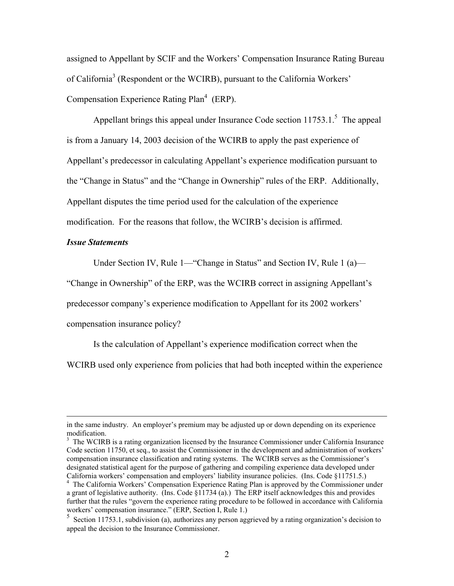assigned to Appellant by SCIF and the Workers' Compensation Insurance Rating Bureau of California<sup>3</sup> (Respondent or the WCIRB), pursuant to the California Workers' Compensation Experience Rating Plan<sup>4</sup> (ERP).

Appellant brings this appeal under Insurance Code section  $11753.1$ <sup>5</sup>. The appeal is from a January 14, 2003 decision of the WCIRB to apply the past experience of Appellant's predecessor in calculating Appellant's experience modification pursuant to the "Change in Status" and the "Change in Ownership" rules of the ERP. Additionally, Appellant disputes the time period used for the calculation of the experience modification. For the reasons that follow, the WCIRB's decision is affirmed.

#### *Issue Statements*

 $\overline{a}$ 

Under Section IV, Rule 1—"Change in Status" and Section IV, Rule 1 (a)—

"Change in Ownership" of the ERP, was the WCIRB correct in assigning Appellant's

predecessor company's experience modification to Appellant for its 2002 workers'

compensation insurance policy?

Is the calculation of Appellant's experience modification correct when the

WCIRB used only experience from policies that had both incepted within the experience

in the same industry. An employer's premium may be adjusted up or down depending on its experience modification.

<sup>&</sup>lt;sup>3</sup> The WCIRB is a rating organization licensed by the Insurance Commissioner under California Insurance Code section 11750, et seq., to assist the Commissioner in the development and administration of workers' compensation insurance classification and rating systems. The WCIRB serves as the Commissioner's designated statistical agent for the purpose of gathering and compiling experience data developed under California workers' compensation and employers' liability insurance policies. (Ins. Code §11751.5.) 4

<sup>&</sup>lt;sup>4</sup> The California Workers' Compensation Experience Rating Plan is approved by the Commissioner under a grant of legislative authority. (Ins. Code §11734 (a).) The ERP itself acknowledges this and provides further that the rules "govern the experience rating procedure to be followed in accordance with California workers' compensation insurance." (ERP, Section I, Rule 1.)

<sup>&</sup>lt;sup>5</sup> Section 11753.1, subdivision (a), authorizes any person aggrieved by a rating organization's decision to appeal the decision to the Insurance Commissioner.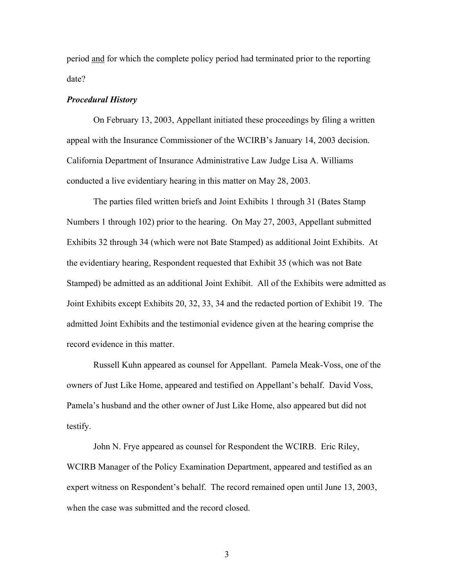period and for which the complete policy period had terminated prior to the reporting date?

#### *Procedural History*

On February 13, 2003, Appellant initiated these proceedings by filing a written appeal with the Insurance Commissioner of the WCIRB's January 14, 2003 decision. California Department of Insurance Administrative Law Judge Lisa A. Williams conducted a live evidentiary hearing in this matter on May 28, 2003.

The parties filed written briefs and Joint Exhibits 1 through 31 (Bates Stamp Numbers 1 through 102) prior to the hearing. On May 27, 2003, Appellant submitted Exhibits 32 through 34 (which were not Bate Stamped) as additional Joint Exhibits. At the evidentiary hearing, Respondent requested that Exhibit 35 (which was not Bate Stamped) be admitted as an additional Joint Exhibit. All of the Exhibits were admitted as Joint Exhibits except Exhibits 20, 32, 33, 34 and the redacted portion of Exhibit 19. The admitted Joint Exhibits and the testimonial evidence given at the hearing comprise the record evidence in this matter.

owners of Just Like Home, appeared and testified on Appellant's behalf. David Voss, testify. Russell Kuhn appeared as counsel for Appellant. Pamela Meak-Voss, one of the Pamela's husband and the other owner of Just Like Home, also appeared but did not

John N. Frye appeared as counsel for Respondent the WCIRB. Eric Riley, WCIRB Manager of the Policy Examination Department, appeared and testified as an expert witness on Respondent's behalf. The record remained open until June 13, 2003, when the case was submitted and the record closed.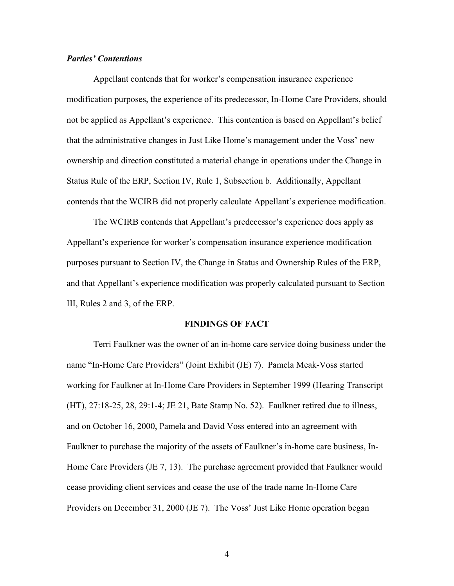### *Parties' Contentions*

Appellant contends that for worker's compensation insurance experience modification purposes, the experience of its predecessor, In-Home Care Providers, should not be applied as Appellant's experience. This contention is based on Appellant's belief that the administrative changes in Just Like Home's management under the Voss' new ownership and direction constituted a material change in operations under the Change in Status Rule of the ERP, Section IV, Rule 1, Subsection b. Additionally, Appellant contends that the WCIRB did not properly calculate Appellant's experience modification.

The WCIRB contends that Appellant's predecessor's experience does apply as Appellant's experience for worker's compensation insurance experience modification purposes pursuant to Section IV, the Change in Status and Ownership Rules of the ERP, and that Appellant's experience modification was properly calculated pursuant to Section III, Rules 2 and 3, of the ERP.

#### **FINDINGS OF FACT**

Terri Faulkner was the owner of an in-home care service doing business under the name "In-Home Care Providers" (Joint Exhibit (JE) 7). Pamela Meak-Voss started working for Faulkner at In-Home Care Providers in September 1999 (Hearing Transcript (HT), 27:18-25, 28, 29:1-4; JE 21, Bate Stamp No. 52). Faulkner retired due to illness, and on October 16, 2000, Pamela and David Voss entered into an agreement with Faulkner to purchase the majority of the assets of Faulkner's in-home care business, In-Home Care Providers (JE 7, 13). The purchase agreement provided that Faulkner would cease providing client services and cease the use of the trade name In-Home Care Providers on December 31, 2000 (JE 7). The Voss' Just Like Home operation began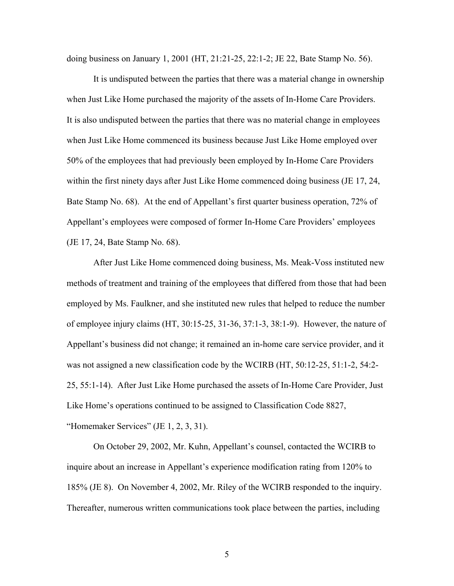doing business on January 1, 2001 (HT, 21:21-25, 22:1-2; JE 22, Bate Stamp No. 56).

It is undisputed between the parties that there was a material change in ownership when Just Like Home purchased the majority of the assets of In-Home Care Providers. It is also undisputed between the parties that there was no material change in employees when Just Like Home commenced its business because Just Like Home employed over 50% of the employees that had previously been employed by In-Home Care Providers within the first ninety days after Just Like Home commenced doing business (JE 17, 24, Bate Stamp No. 68). At the end of Appellant's first quarter business operation, 72% of Appellant's employees were composed of former In-Home Care Providers' employees (JE 17, 24, Bate Stamp No. 68).

After Just Like Home commenced doing business, Ms. Meak-Voss instituted new methods of treatment and training of the employees that differed from those that had been employed by Ms. Faulkner, and she instituted new rules that helped to reduce the number of employee injury claims (HT, 30:15-25, 31-36, 37:1-3, 38:1-9). However, the nature of Appellant's business did not change; it remained an in-home care service provider, and it was not assigned a new classification code by the WCIRB (HT, 50:12-25, 51:1-2, 54:2-25, 55:1-14). After Just Like Home purchased the assets of In-Home Care Provider, Just Like Home's operations continued to be assigned to Classification Code 8827, "Homemaker Services" (JE 1, 2, 3, 31).

On October 29, 2002, Mr. Kuhn, Appellant's counsel, contacted the WCIRB to inquire about an increase in Appellant's experience modification rating from 120% to 185% (JE 8). On November 4, 2002, Mr. Riley of the WCIRB responded to the inquiry. Thereafter, numerous written communications took place between the parties, including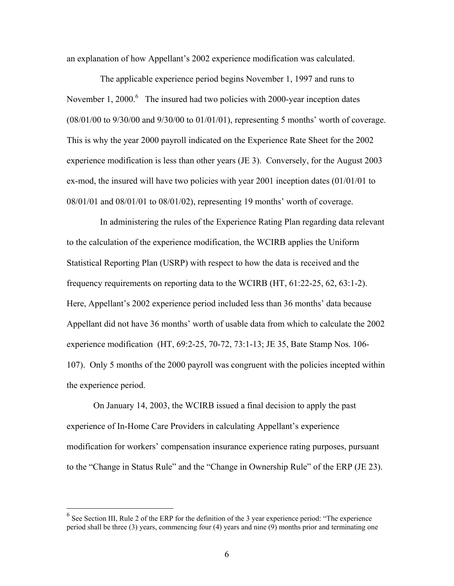an explanation of how Appellant's 2002 experience modification was calculated.

The applicable experience period begins November 1, 1997 and runs to November 1, 2000. $\mathrm{6}$  The insured had two policies with 2000-year inception dates (08/01/00 to 9/30/00 and 9/30/00 to 01/01/01), representing 5 months' worth of coverage. This is why the year 2000 payroll indicated on the Experience Rate Sheet for the 2002 experience modification is less than other years (JE 3). Conversely, for the August 2003 ex-mod, the insured will have two policies with year 2001 inception dates (01/01/01 to 08/01/01 and 08/01/01 to 08/01/02), representing 19 months' worth of coverage.

In administering the rules of the Experience Rating Plan regarding data relevant to the calculation of the experience modification, the WCIRB applies the Uniform Statistical Reporting Plan (USRP) with respect to how the data is received and the frequency requirements on reporting data to the WCIRB (HT, 61:22-25, 62, 63:1-2). Here, Appellant's 2002 experience period included less than 36 months' data because Appellant did not have 36 months' worth of usable data from which to calculate the 2002 experience modification (HT, 69:2-25, 70-72, 73:1-13; JE 35, Bate Stamp Nos. 106- 107). Only 5 months of the 2000 payroll was congruent with the policies incepted within the experience period.

On January 14, 2003, the WCIRB issued a final decision to apply the past experience of In-Home Care Providers in calculating Appellant's experience modification for workers' compensation insurance experience rating purposes, pursuant to the "Change in Status Rule" and the "Change in Ownership Rule" of the ERP (JE 23).

 $\overline{a}$ 

 $<sup>6</sup>$  See Section III, Rule 2 of the ERP for the definition of the 3 year experience period: "The experience</sup> period shall be three (3) years, commencing four (4) years and nine (9) months prior and terminating one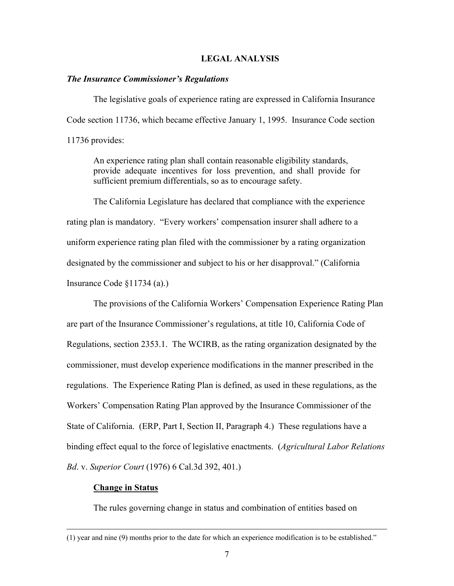#### **LEGAL ANALYSIS**

#### *The Insurance Commissioner's Regulations*

The legislative goals of experience rating are expressed in California Insurance Code section 11736, which became effective January 1, 1995. Insurance Code section 11736 provides:

An experience rating plan shall contain reasonable eligibility standards, provide adequate incentives for loss prevention, and shall provide for sufficient premium differentials, so as to encourage safety.

The California Legislature has declared that compliance with the experience rating plan is mandatory. "Every workers' compensation insurer shall adhere to a uniform experience rating plan filed with the commissioner by a rating organization designated by the commissioner and subject to his or her disapproval." (California Insurance Code §11734 (a).)

The provisions of the California Workers' Compensation Experience Rating Plan are part of the Insurance Commissioner's regulations, at title 10, California Code of Regulations, section 2353.1. The WCIRB, as the rating organization designated by the commissioner, must develop experience modifications in the manner prescribed in the regulations. The Experience Rating Plan is defined, as used in these regulations, as the Workers' Compensation Rating Plan approved by the Insurance Commissioner of the State of California. (ERP, Part I, Section II, Paragraph 4.) These regulations have a binding effect equal to the force of legislative enactments. (*Agricultural Labor Relations Bd*. v. *Superior Court* (1976) 6 Cal.3d 392, 401.)

#### **Change in Status**

 $\overline{a}$ 

The rules governing change in status and combination of entities based on

<sup>(1)</sup> year and nine (9) months prior to the date for which an experience modification is to be established."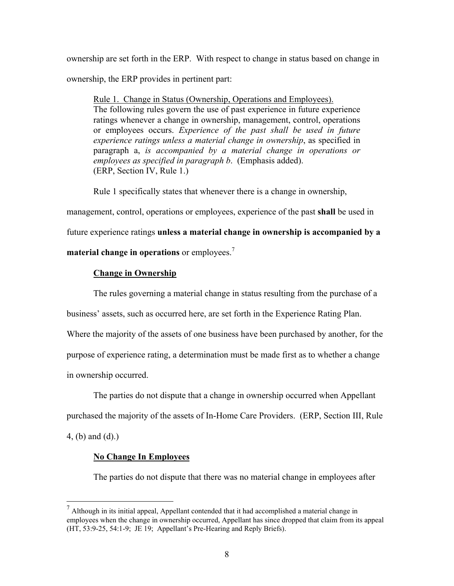ownership are set forth in the ERP. With respect to change in status based on change in ownership, the ERP provides in pertinent part:

Rule 1. Change in Status (Ownership, Operations and Employees). The following rules govern the use of past experience in future experience ratings whenever a change in ownership, management, control, operations or employees occurs. *Experience of the past shall be used in future experience ratings unless a material change in ownership*, as specified in paragraph a, *is accompanied by a material change in operations or employees as specified in paragraph b*. (Emphasis added). (ERP, Section IV, Rule 1.)

Rule 1 specifically states that whenever there is a change in ownership,

management, control, operations or employees, experience of the past **shall** be used in

future experience ratings **unless a material change in ownership is accompanied by a** 

**material change in operations** or employees.7

### **Change in Ownership**

The rules governing a material change in status resulting from the purchase of a

business' assets, such as occurred here, are set forth in the Experience Rating Plan.

Where the majority of the assets of one business have been purchased by another, for the

purpose of experience rating, a determination must be made first as to whether a change

in ownership occurred.

The parties do not dispute that a change in ownership occurred when Appellant purchased the majority of the assets of In-Home Care Providers. (ERP, Section III, Rule 4, (b) and (d).)

### **No Change In Employees**

The parties do not dispute that there was no material change in employees after

<sup>&</sup>lt;sup>7</sup> Although in its initial appeal, Appellant contended that it had accomplished a material change in employees when the change in ownership occurred, Appellant has since dropped that claim from its appeal (HT, 53:9-25, 54:1-9; JE 19; Appellant's Pre-Hearing and Reply Briefs).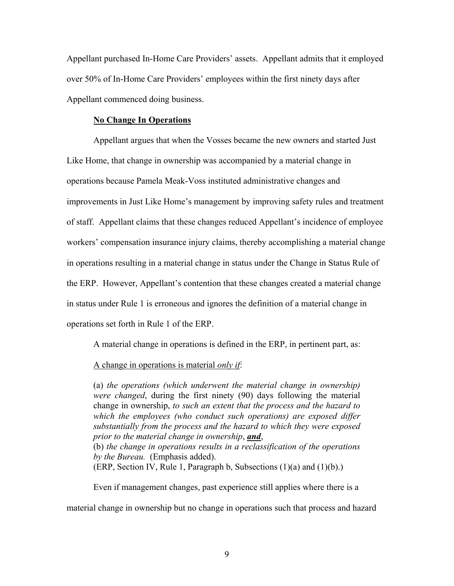Appellant purchased In-Home Care Providers' assets. Appellant admits that it employed over 50% of In-Home Care Providers' employees within the first ninety days after Appellant commenced doing business.

#### **No Change In Operations**

Appellant argues that when the Vosses became the new owners and started Just Like Home, that change in ownership was accompanied by a material change in operations because Pamela Meak-Voss instituted administrative changes and improvements in Just Like Home's management by improving safety rules and treatment of staff. Appellant claims that these changes reduced Appellant's incidence of employee workers' compensation insurance injury claims, thereby accomplishing a material change in operations resulting in a material change in status under the Change in Status Rule of the ERP. However, Appellant's contention that these changes created a material change in status under Rule 1 is erroneous and ignores the definition of a material change in operations set forth in Rule 1 of the ERP.

A material change in operations is defined in the ERP, in pertinent part, as:

A change in operations is material *only if*:

(a) *the operations (which underwent the material change in ownership) were changed*, during the first ninety (90) days following the material change in ownership, *to such an extent that the process and the hazard to which the employees (who conduct such operations) are exposed differ substantially from the process and the hazard to which they were exposed prior to the material change in ownership*, *and*,

(b) *the change in operations results in a reclassification of the operations by the Bureau.* (Emphasis added).

(ERP, Section IV, Rule 1, Paragraph b, Subsections (1)(a) and (1)(b).)

Even if management changes, past experience still applies where there is a

material change in ownership but no change in operations such that process and hazard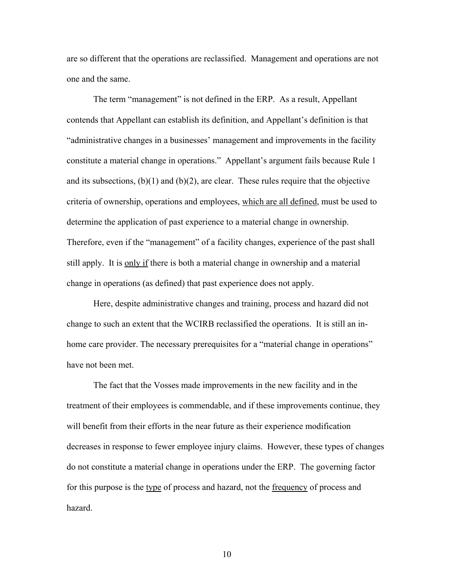are so different that the operations are reclassified. Management and operations are not one and the same.

The term "management" is not defined in the ERP. As a result, Appellant contends that Appellant can establish its definition, and Appellant's definition is that "administrative changes in a businesses' management and improvements in the facility constitute a material change in operations." Appellant's argument fails because Rule 1 and its subsections,  $(b)(1)$  and  $(b)(2)$ , are clear. These rules require that the objective criteria of ownership, operations and employees, which are all defined, must be used to determine the application of past experience to a material change in ownership. Therefore, even if the "management" of a facility changes, experience of the past shall still apply. It is only if there is both a material change in ownership and a material change in operations (as defined) that past experience does not apply.

Here, despite administrative changes and training, process and hazard did not change to such an extent that the WCIRB reclassified the operations. It is still an inhome care provider. The necessary prerequisites for a "material change in operations" have not been met.

The fact that the Vosses made improvements in the new facility and in the treatment of their employees is commendable, and if these improvements continue, they will benefit from their efforts in the near future as their experience modification decreases in response to fewer employee injury claims. However, these types of changes do not constitute a material change in operations under the ERP. The governing factor for this purpose is the type of process and hazard, not the frequency of process and hazard.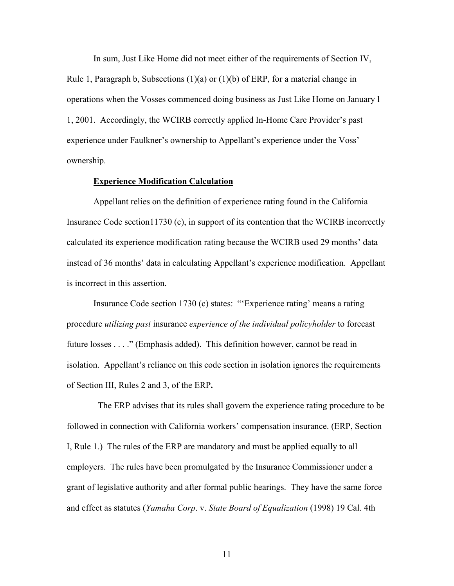In sum, Just Like Home did not meet either of the requirements of Section IV, Rule 1, Paragraph b, Subsections  $(1)(a)$  or  $(1)(b)$  of ERP, for a material change in operations when the Vosses commenced doing business as Just Like Home on January l 1, 2001. Accordingly, the WCIRB correctly applied In-Home Care Provider's past experience under Faulkner's ownership to Appellant's experience under the Voss' ownership.

#### **Experience Modification Calculation**

Appellant relies on the definition of experience rating found in the California Insurance Code section11730 (c), in support of its contention that the WCIRB incorrectly calculated its experience modification rating because the WCIRB used 29 months' data instead of 36 months' data in calculating Appellant's experience modification. Appellant is incorrect in this assertion.

Insurance Code section 1730 (c) states: "'Experience rating' means a rating procedure *utilizing past* insurance *experience of the individual policyholder* to forecast future losses . . . ." (Emphasis added). This definition however, cannot be read in isolation. Appellant's reliance on this code section in isolation ignores the requirements of Section III, Rules 2 and 3, of the ERP**.** 

The ERP advises that its rules shall govern the experience rating procedure to be followed in connection with California workers' compensation insurance. (ERP, Section I, Rule 1.) The rules of the ERP are mandatory and must be applied equally to all employers. The rules have been promulgated by the Insurance Commissioner under a grant of legislative authority and after formal public hearings. They have the same force and effect as statutes (*Yamaha Corp*. v. *State Board of Equalization* (1998) 19 Cal. 4th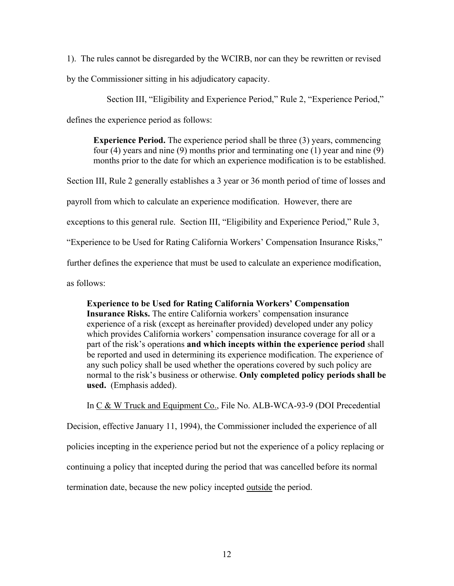1). The rules cannot be disregarded by the WCIRB, nor can they be rewritten or revised

by the Commissioner sitting in his adjudicatory capacity.

Section III, "Eligibility and Experience Period," Rule 2, "Experience Period,"

defines the experience period as follows:

**Experience Period.** The experience period shall be three (3) years, commencing four (4) years and nine (9) months prior and terminating one (1) year and nine (9) months prior to the date for which an experience modification is to be established.

Section III, Rule 2 generally establishes a 3 year or 36 month period of time of losses and

payroll from which to calculate an experience modification. However, there are

exceptions to this general rule. Section III, "Eligibility and Experience Period," Rule 3,

"Experience to be Used for Rating California Workers' Compensation Insurance Risks,"

further defines the experience that must be used to calculate an experience modification,

as follows:

**Experience to be Used for Rating California Workers' Compensation Insurance Risks.** The entire California workers' compensation insurance experience of a risk (except as hereinafter provided) developed under any policy which provides California workers' compensation insurance coverage for all or a part of the risk's operations **and which incepts within the experience period** shall be reported and used in determining its experience modification. The experience of any such policy shall be used whether the operations covered by such policy are normal to the risk's business or otherwise. **Only completed policy periods shall be used.** (Emphasis added).

In C & W Truck and Equipment Co., File No. ALB-WCA-93-9 (DOI Precedential

Decision, effective January 11, 1994), the Commissioner included the experience of all

policies incepting in the experience period but not the experience of a policy replacing or

continuing a policy that incepted during the period that was cancelled before its normal

termination date, because the new policy incepted outside the period.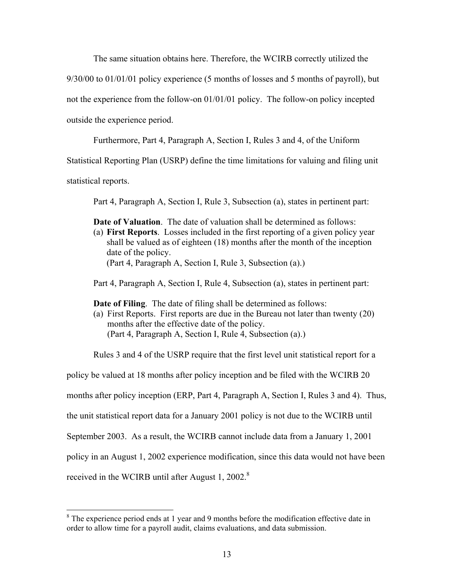The same situation obtains here. Therefore, the WCIRB correctly utilized the

9/30/00 to 01/01/01 policy experience (5 months of losses and 5 months of payroll), but

not the experience from the follow-on 01/01/01 policy. The follow-on policy incepted

outside the experience period.

Furthermore, Part 4, Paragraph A, Section I, Rules 3 and 4, of the Uniform

Statistical Reporting Plan (USRP) define the time limitations for valuing and filing unit

statistical reports.

1

Part 4, Paragraph A, Section I, Rule 3, Subsection (a), states in pertinent part:

**Date of Valuation**. The date of valuation shall be determined as follows:

(a) **First Reports**. Losses included in the first reporting of a given policy year shall be valued as of eighteen (18) months after the month of the inception date of the policy. (Part 4, Paragraph A, Section I, Rule 3, Subsection (a).)

Part 4, Paragraph A, Section I, Rule 4, Subsection (a), states in pertinent part:

**Date of Filing**. The date of filing shall be determined as follows:

(a) First Reports. First reports are due in the Bureau not later than twenty (20) months after the effective date of the policy. (Part 4, Paragraph A, Section I, Rule 4, Subsection (a).)

Rules 3 and 4 of the USRP require that the first level unit statistical report for a

policy be valued at 18 months after policy inception and be filed with the WCIRB 20

months after policy inception (ERP, Part 4, Paragraph A, Section I, Rules 3 and 4). Thus,

the unit statistical report data for a January 2001 policy is not due to the WCIRB until

September 2003. As a result, the WCIRB cannot include data from a January 1, 2001

policy in an August 1, 2002 experience modification, since this data would not have been

received in the WCIRB until after August 1, 2002.<sup>8</sup>

 $8$  The experience period ends at 1 year and 9 months before the modification effective date in order to allow time for a payroll audit, claims evaluations, and data submission.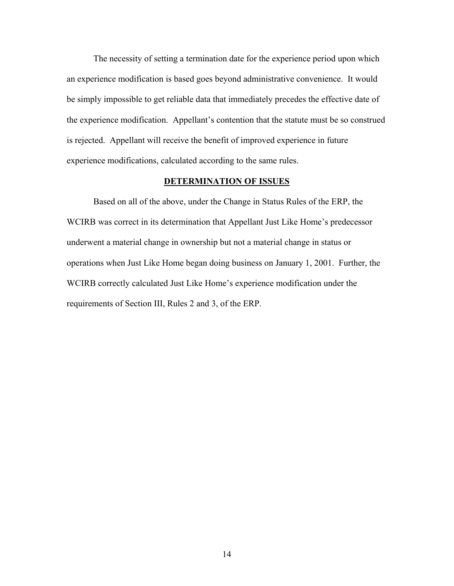experience modifications, calculated according to the same rules. The necessity of setting a termination date for the experience period upon which an experience modification is based goes beyond administrative convenience. It would be simply impossible to get reliable data that immediately precedes the effective date of the experience modification. Appellant's contention that the statute must be so construed is rejected. Appellant will receive the benefit of improved experience in future

### **DETERMINATION OF ISSUES**

Based on all of the above, under the Change in Status Rules of the ERP, the WCIRB was correct in its determination that Appellant Just Like Home's predecessor underwent a material change in ownership but not a material change in status or operations when Just Like Home began doing business on January 1, 2001. Further, the WCIRB correctly calculated Just Like Home's experience modification under the requirements of Section III, Rules 2 and 3, of the ERP.